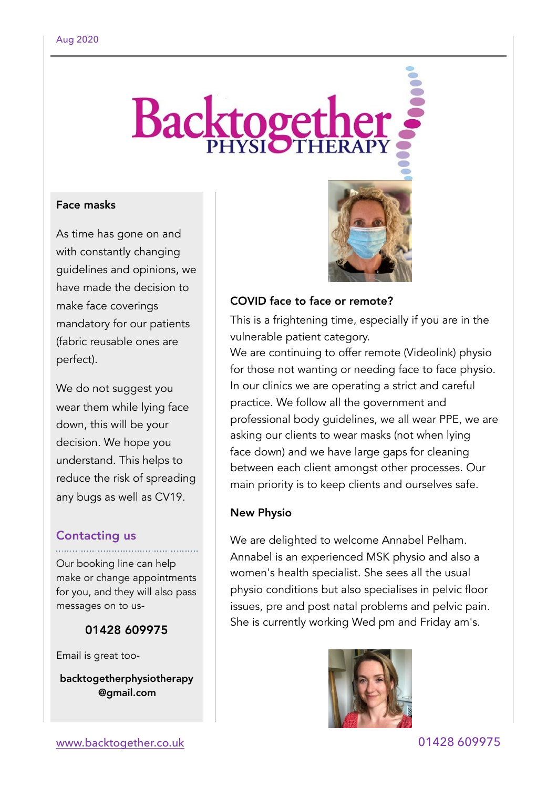# **Backtoget**

## Face masks

As time has gone on and with constantly changing guidelines and opinions, we have made the decision to make face coverings mandatory for our patients (fabric reusable ones are perfect).

We do not suggest you wear them while lying face down, this will be your decision. We hope you understand. This helps to reduce the risk of spreading any bugs as well as CV19.

# Contacting us

Our booking line can help make or change appointments for you, and they will also pass messages on to us-

# 01428 609975

Email is great too-

backtogetherphysiotherapy @gmail.com



## COVID face to face or remote?

This is a frightening time, especially if you are in the vulnerable patient category.

We are continuing to offer remote (Videolink) physio for those not wanting or needing face to face physio. In our clinics we are operating a strict and careful practice. We follow all the government and professional body guidelines, we all wear PPE, we are asking our clients to wear masks (not when lying face down) and we have large gaps for cleaning between each client amongst other processes. Our main priority is to keep clients and ourselves safe.

## New Physio

We are delighted to welcome Annabel Pelham. Annabel is an experienced MSK physio and also a women's health specialist. She sees all the usual physio conditions but also specialises in pelvic floor issues, pre and post natal problems and pelvic pain. She is currently working Wed pm and Friday am's.